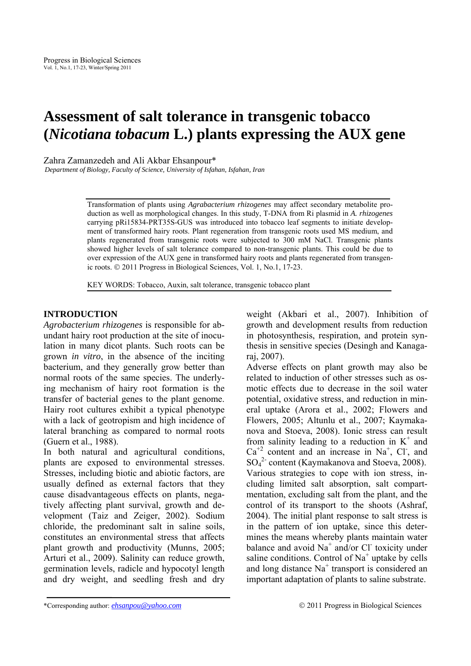# **Assessment of salt tolerance in transgenic tobacco (***Nicotiana tobacum* **L.) plants expressing the AUX gene**

Zahra Zamanzedeh and Ali Akbar Ehsanpour\*

*Department of Biology, Faculty of Science, University of Isfahan, Isfahan, Iran* 

Transformation of plants using *Agrabacterium rhizogenes* may affect secondary metabolite production as well as morphological changes. In this study, T-DNA from Ri plasmid in *A. rhizogenes* carrying pRi15834-PRT35S-GUS was introduced into tobacco leaf segments to initiate development of transformed hairy roots. Plant regeneration from transgenic roots used MS medium, and plants regenerated from transgenic roots were subjected to 300 mM NaCl. Transgenic plants showed higher levels of salt tolerance compared to non-transgenic plants. This could be due to over expression of the AUX gene in transformed hairy roots and plants regenerated from transgenic roots. © 2011 Progress in Biological Sciences, Vol. 1, No.1, 17-23.

KEY WORDS: Tobacco, Auxin, salt tolerance, transgenic tobacco plant

# **INTRODUCTION**

*Agrobacterium rhizogenes* is responsible for abundant hairy root production at the site of inoculation in many dicot plants. Such roots can be grown *in vitro*, in the absence of the inciting bacterium, and they generally grow better than normal roots of the same species. The underlying mechanism of hairy root formation is the transfer of bacterial genes to the plant genome. Hairy root cultures exhibit a typical phenotype with a lack of geotropism and high incidence of lateral branching as compared to normal roots (Guern et al., 1988).

In both natural and agricultural conditions, plants are exposed to environmental stresses. Stresses, including biotic and abiotic factors, are usually defined as external factors that they cause disadvantageous effects on plants, negatively affecting plant survival, growth and development (Taiz and Zeiger, 2002). Sodium chloride, the predominant salt in saline soils, constitutes an environmental stress that affects plant growth and productivity (Munns, 2005; Arturi et al., 2009). Salinity can reduce growth, germination levels, radicle and hypocotyl length and dry weight, and seedling fresh and dry weight (Akbari et al., 2007). Inhibition of growth and development results from reduction in photosynthesis, respiration, and protein synthesis in sensitive species (Desingh and Kanagaraj, 2007).

Adverse effects on plant growth may also be related to induction of other stresses such as osmotic effects due to decrease in the soil water potential, oxidative stress, and reduction in mineral uptake (Arora et al., 2002; Flowers and Flowers, 2005; Altunlu et al., 2007; Kaymakanova and Stoeva, 2008). Ionic stress can result from salinity leading to a reduction in  $K^+$  and  $Ca^{+2}$  content and an increase in Na<sup>+</sup>, Cl<sup>-</sup>, and SO4 2- content (Kaymakanova and Stoeva, 2008). Various strategies to cope with ion stress, including limited salt absorption, salt compartmentation, excluding salt from the plant, and the control of its transport to the shoots (Ashraf, 2004). The initial plant response to salt stress is in the pattern of ion uptake, since this determines the means whereby plants maintain water balance and avoid  $Na^+$  and/or Cl toxicity under saline conditions. Control of  $Na<sup>+</sup>$  uptake by cells and long distance  $Na<sup>+</sup>$  transport is considered an important adaptation of plants to saline substrate.

<sup>\*</sup>Corresponding author: *ehsanpou@yahoo.com* © 2011 Progress in Biological Sciences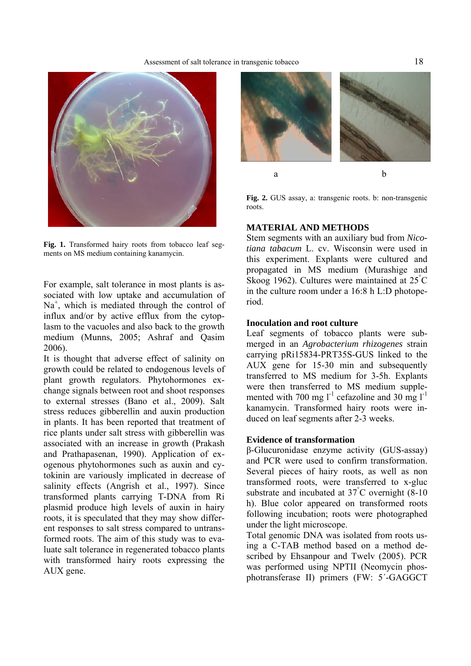# Assessment of salt tolerance in transgenic tobacco 18



**Fig. 1.** Transformed hairy roots from tobacco leaf segments on MS medium containing kanamycin.

For example, salt tolerance in most plants is associated with low uptake and accumulation of  $Na<sup>+</sup>$ , which is mediated through the control of influx and/or by active efflux from the cytoplasm to the vacuoles and also back to the growth medium (Munns, 2005; Ashraf and Qasim 2006).

It is thought that adverse effect of salinity on growth could be related to endogenous levels of plant growth regulators. Phytohormones exchange signals between root and shoot responses to external stresses (Bano et al., 2009). Salt stress reduces gibberellin and auxin production in plants. It has been reported that treatment of rice plants under salt stress with gibberellin was associated with an increase in growth (Prakash and Prathapasenan, 1990). Application of exogenous phytohormones such as auxin and cytokinin are variously implicated in decrease of salinity effects (Angrish et al., 1997). Since transformed plants carrying T-DNA from Ri plasmid produce high levels of auxin in hairy roots, it is speculated that they may show different responses to salt stress compared to untransformed roots. The aim of this study was to evaluate salt tolerance in regenerated tobacco plants with transformed hairy roots expressing the AUX gene.



**Fig. 2.** GUS assay, a: transgenic roots. b: non-transgenic roots.

# **MATERIAL AND METHODS**

Stem segments with an auxiliary bud from *Nicotiana tabacum* L. cv. Wisconsin were used in this experiment. Explants were cultured and propagated in MS medium (Murashige and Skoog 1962). Cultures were maintained at 25° C in the culture room under a 16:8 h L:D photoperiod.

# **Inoculation and root culture**

Leaf segments of tobacco plants were submerged in an *Agrobacterium rhizogenes* strain carrying pRi15834-PRT35S-GUS linked to the AUX gene for 15-30 min and subsequently transferred to MS medium for 3-5h. Explants were then transferred to MS medium supplemented with 700 mg  $l^{-1}$  cefazoline and 30 mg  $l^{-1}$ kanamycin. Transformed hairy roots were induced on leaf segments after 2-3 weeks.

# **Evidence of transformation**

β-Glucuronidase enzyme activity (GUS-assay) and PCR were used to confirm transformation. Several pieces of hairy roots, as well as non transformed roots, were transferred to x-gluc substrate and incubated at  $37^{\circ}$ C overnight (8-10) h). Blue color appeared on transformed roots following incubation; roots were photographed under the light microscope.

Total genomic DNA was isolated from roots using a C-TAB method based on a method described by Ehsanpour and Twelv (2005). PCR was performed using NPTII (Neomycin phosphotransferase II) primers (FW: 5´-GAGGCT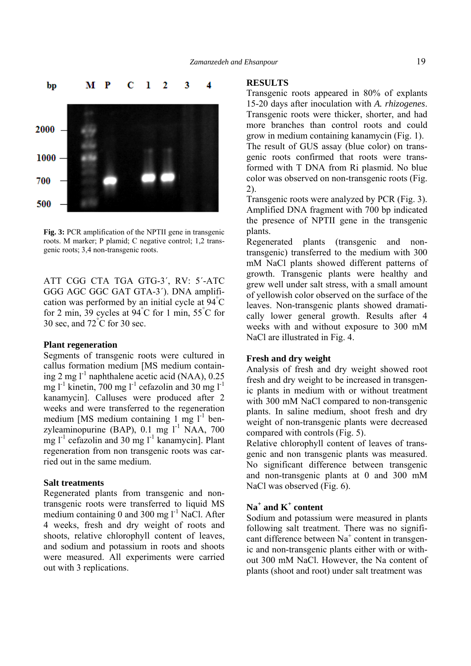

**Fig. 3:** PCR amplification of the NPTII gene in transgenic roots. M marker; P plamid; C negative control; 1,2 transgenic roots; 3,4 non-transgenic roots.

ATT CGG CTA TGA GTG-3´, RV: 5´-ATC GGG AGC GGC GAT GTA-3´). DNA amplification was performed by an initial cycle at  $94^{\circ}$ C for 2 min, 39 cycles at  $94^{\circ}$ C for 1 min, 55 $^{\circ}$ C for 30 sec, and  $72^{\circ}$ C for 30 sec.

# **Plant regeneration**

Segments of transgenic roots were cultured in callus formation medium [MS medium containing 2 mg  $l^{-1}$  naphthalene acetic acid (NAA), 0.25 mg  $l^{-1}$  kinetin, 700 mg  $l^{-1}$  cefazolin and 30 mg  $l^{-1}$ kanamycin]. Calluses were produced after 2 weeks and were transferred to the regeneration medium [MS medium containing 1 mg  $l^{-1}$  benzyleaminopurine (BAP),  $0.1 \text{ mg}$   $1^{-1}$  NAA, 700 mg  $l^{-1}$  cefazolin and 30 mg  $l^{-1}$  kanamycin]. Plant regeneration from non transgenic roots was carried out in the same medium.

## **Salt treatments**

Regenerated plants from transgenic and nontransgenic roots were transferred to liquid MS medium containing 0 and 300 mg  $1^{-1}$  NaCl. After 4 weeks, fresh and dry weight of roots and shoots, relative chlorophyll content of leaves, and sodium and potassium in roots and shoots were measured. All experiments were carried out with 3 replications.

#### **RESULTS**

Transgenic roots appeared in 80% of explants 15-20 days after inoculation with *A. rhizogenes*. Transgenic roots were thicker, shorter, and had more branches than control roots and could grow in medium containing kanamycin (Fig. 1). The result of GUS assay (blue color) on transgenic roots confirmed that roots were transformed with T DNA from Ri plasmid. No blue color was observed on non-transgenic roots (Fig. 2).

Transgenic roots were analyzed by PCR (Fig. 3). Amplified DNA fragment with 700 bp indicated the presence of NPTII gene in the transgenic plants.

Regenerated plants (transgenic and nontransgenic) transferred to the medium with 300 mM NaCl plants showed different patterns of growth. Transgenic plants were healthy and grew well under salt stress, with a small amount of yellowish color observed on the surface of the leaves. Non-transgenic plants showed dramatically lower general growth. Results after 4 weeks with and without exposure to 300 mM NaCl are illustrated in Fig. 4.

# **Fresh and dry weight**

Analysis of fresh and dry weight showed root fresh and dry weight to be increased in transgenic plants in medium with or without treatment with 300 mM NaCl compared to non-transgenic plants. In saline medium, shoot fresh and dry weight of non-transgenic plants were decreased compared with controls (Fig. 5).

Relative chlorophyll content of leaves of transgenic and non transgenic plants was measured. No significant difference between transgenic and non-transgenic plants at 0 and 300 mM NaCl was observed (Fig. 6).

# **Na<sup>+</sup> and K<sup>+</sup> content**

Sodium and potassium were measured in plants following salt treatment. There was no significant difference between Na<sup>+</sup> content in transgenic and non-transgenic plants either with or without 300 mM NaCl. However, the Na content of plants (shoot and root) under salt treatment was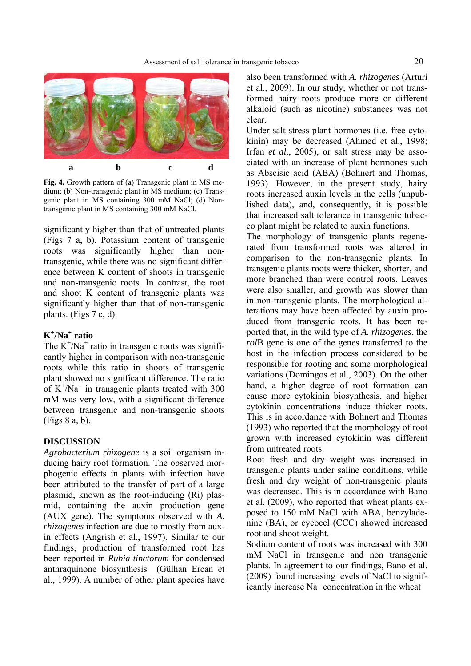

**Fig. 4.** Growth pattern of (a) Transgenic plant in MS medium; (b) Non-transgenic plant in MS medium; (c) Transgenic plant in MS containing 300 mM NaCl; (d) Nontransgenic plant in MS containing 300 mM NaCl.

significantly higher than that of untreated plants (Figs 7 a, b). Potassium content of transgenic roots was significantly higher than nontransgenic, while there was no significant difference between K content of shoots in transgenic and non-transgenic roots. In contrast, the root and shoot K content of transgenic plants was significantly higher than that of non-transgenic plants. (Figs 7 c, d).

# **K+ /Na+ ratio**

The  $K^+/Na^+$  ratio in transgenic roots was significantly higher in comparison with non-transgenic roots while this ratio in shoots of transgenic plant showed no significant difference. The ratio of  $K^+/Na^+$  in transgenic plants treated with 300 mM was very low, with a significant difference between transgenic and non-transgenic shoots (Figs 8 a, b).

## **DISCUSSION**

*Agrobacterium rhizogene* is a soil organism inducing hairy root formation. The observed morphogenic effects in plants with infection have been attributed to the transfer of part of a large plasmid, known as the root-inducing (Ri) plasmid, containing the auxin production gene (AUX gene). The symptoms observed with *A. rhizogenes* infection are due to mostly from auxin effects (Angrish et al., 1997). Similar to our findings, production of transformed root has been reported in *Rubia tinctorum* for condensed anthraquinone biosynthesis (Gülhan Ercan et al., 1999). A number of other plant species have also been transformed with *A. rhizogenes* (Arturi et al., 2009). In our study, whether or not transformed hairy roots produce more or different alkaloid (such as nicotine) substances was not clear.

Under salt stress plant hormones (i.e. free cytokinin) may be decreased (Ahmed et al., 1998; Irfan *et al*., 2005), or salt stress may be associated with an increase of plant hormones such as Abscisic acid (ABA) (Bohnert and Thomas, 1993). However, in the present study, hairy roots increased auxin levels in the cells (unpublished data), and, consequently, it is possible that increased salt tolerance in transgenic tobacco plant might be related to auxin functions.

The morphology of transgenic plants regenerated from transformed roots was altered in comparison to the non-transgenic plants. In transgenic plants roots were thicker, shorter, and more branched than were control roots. Leaves were also smaller, and growth was slower than in non-transgenic plants. The morphological alterations may have been affected by auxin produced from transgenic roots. It has been reported that, in the wild type of *A. rhizogenes*, the *rol*B gene is one of the genes transferred to the host in the infection process considered to be responsible for rooting and some morphological variations (Domingos et al., 2003). On the other hand, a higher degree of root formation can cause more cytokinin biosynthesis, and higher cytokinin concentrations induce thicker roots. This is in accordance with Bohnert and Thomas (1993) who reported that the morphology of root grown with increased cytokinin was different from untreated roots.

Root fresh and dry weight was increased in transgenic plants under saline conditions, while fresh and dry weight of non-transgenic plants was decreased. This is in accordance with Bano et al. (2009), who reported that wheat plants exposed to 150 mM NaCl with ABA, benzyladenine (BA), or cycocel (CCC) showed increased root and shoot weight.

Sodium content of roots was increased with 300 mM NaCl in transgenic and non transgenic plants. In agreement to our findings, Bano et al. (2009) found increasing levels of NaCl to significantly increase Na<sup>+</sup> concentration in the wheat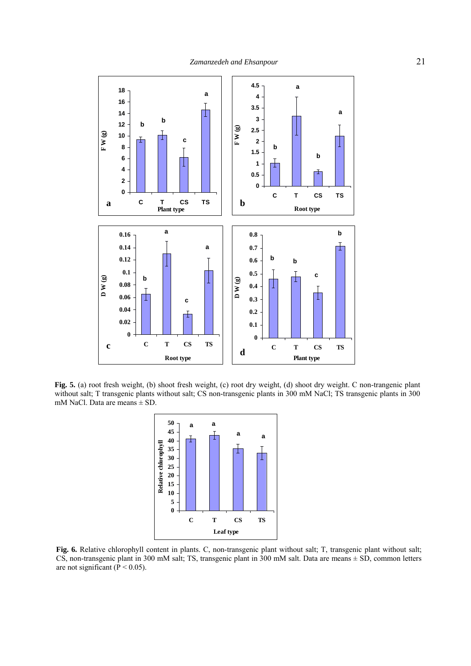

**Fig. 5.** (a) root fresh weight, (b) shoot fresh weight, (c) root dry weight, (d) shoot dry weight. C non-trangenic plant without salt; T transgenic plants without salt; CS non-transgenic plants in 300 mM NaCl; TS transgenic plants in 300 mM NaCl. Data are means ± SD.



**Fig. 6.** Relative chlorophyll content in plants. C, non-transgenic plant without salt; T, transgenic plant without salt; CS, non-transgenic plant in 300 mM salt; TS, transgenic plant in 300 mM salt. Data are means ± SD, common letters are not significant ( $\dot{P}$  < 0.05).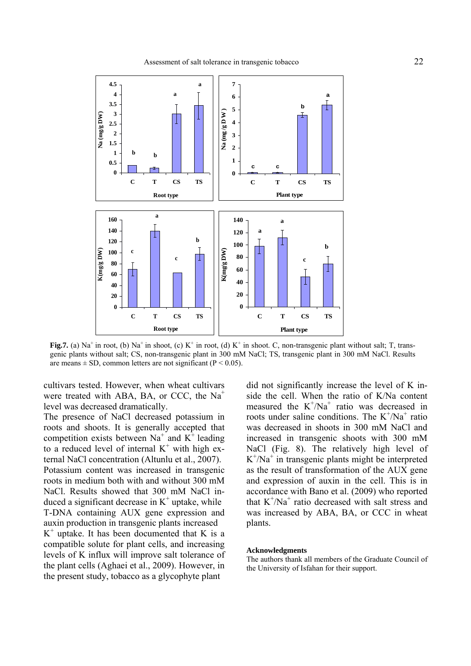

**Fig.7.** (a) Na<sup>+</sup> in root, (b) Na<sup>+</sup> in shoot, (c) K<sup>+</sup> in root, (d) K<sup>+</sup> in shoot. C, non-transgenic plant without salt; T, transgenic plants without salt; CS, non-transgenic plant in 300 mM NaCl; TS, transgenic plant in 300 mM NaCl. Results are means  $\pm$  SD, common letters are not significant (P < 0.05).

cultivars tested. However, when wheat cultivars were treated with ABA, BA, or CCC, the  $Na<sup>+</sup>$ level was decreased dramatically.

The presence of NaCl decreased potassium in roots and shoots. It is generally accepted that competition exists between Na<sup>+</sup> and  $K^+$  leading to a reduced level of internal  $K^+$  with high external NaCl concentration (Altunlu et al., 2007). Potassium content was increased in transgenic roots in medium both with and without 300 mM NaCl. Results showed that 300 mM NaCl induced a significant decrease in  $K^+$  uptake, while T-DNA containing AUX gene expression and auxin production in transgenic plants increased  $K<sup>+</sup>$  uptake. It has been documented that K is a compatible solute for plant cells, and increasing levels of K influx will improve salt tolerance of the plant cells (Aghaei et al., 2009). However, in the present study, tobacco as a glycophyte plant

did not significantly increase the level of K inside the cell. When the ratio of K/Na content measured the  $K^{+}/Na^{+}$  ratio was decreased in roots under saline conditions. The  $K^{+}/Na^{+}$  ratio was decreased in shoots in 300 mM NaCl and increased in transgenic shoots with 300 mM NaCl (Fig. 8). The relatively high level of  $K^+$ /Na<sup>+</sup> in transgenic plants might be interpreted as the result of transformation of the AUX gene and expression of auxin in the cell. This is in accordance with Bano et al. (2009) who reported that  $K^+/Na^+$  ratio decreased with salt stress and was increased by ABA, BA, or CCC in wheat plants.

#### **Acknowledgments**

The authors thank all members of the Graduate Council of the University of Isfahan for their support.